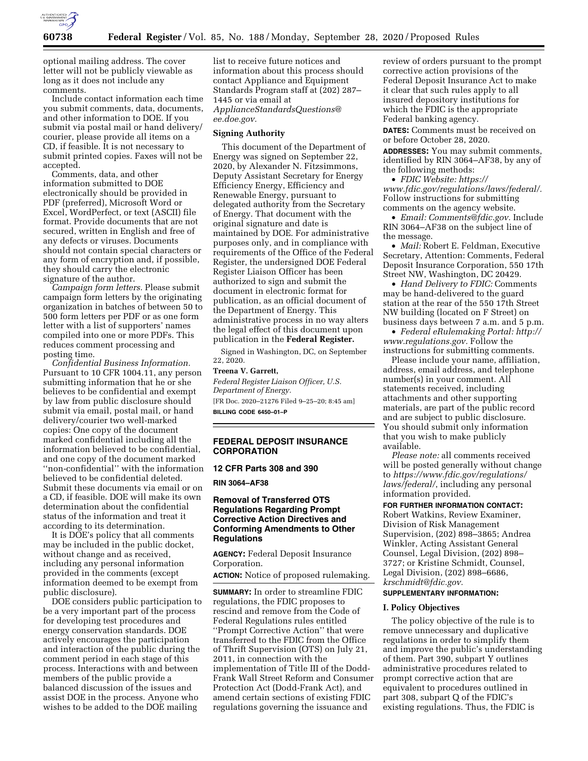

optional mailing address. The cover letter will not be publicly viewable as long as it does not include any comments.

Include contact information each time you submit comments, data, documents, and other information to DOE. If you submit via postal mail or hand delivery/ courier, please provide all items on a CD, if feasible. It is not necessary to submit printed copies. Faxes will not be accepted.

Comments, data, and other information submitted to DOE electronically should be provided in PDF (preferred), Microsoft Word or Excel, WordPerfect, or text (ASCII) file format. Provide documents that are not secured, written in English and free of any defects or viruses. Documents should not contain special characters or any form of encryption and, if possible, they should carry the electronic signature of the author.

*Campaign form letters.* Please submit campaign form letters by the originating organization in batches of between 50 to 500 form letters per PDF or as one form letter with a list of supporters' names compiled into one or more PDFs. This reduces comment processing and posting time.

*Confidential Business Information.*  Pursuant to 10 CFR 1004.11, any person submitting information that he or she believes to be confidential and exempt by law from public disclosure should submit via email, postal mail, or hand delivery/courier two well-marked copies: One copy of the document marked confidential including all the information believed to be confidential, and one copy of the document marked ''non-confidential'' with the information believed to be confidential deleted. Submit these documents via email or on a CD, if feasible. DOE will make its own determination about the confidential status of the information and treat it according to its determination.

It is DOE's policy that all comments may be included in the public docket, without change and as received, including any personal information provided in the comments (except information deemed to be exempt from public disclosure).

DOE considers public participation to be a very important part of the process for developing test procedures and energy conservation standards. DOE actively encourages the participation and interaction of the public during the comment period in each stage of this process. Interactions with and between members of the public provide a balanced discussion of the issues and assist DOE in the process. Anyone who wishes to be added to the DOE mailing

list to receive future notices and information about this process should contact Appliance and Equipment Standards Program staff at (202) 287– 1445 or via email at *[ApplianceStandardsQuestions@](mailto:ApplianceStandardsQuestions@ee.doe.gov) [ee.doe.gov.](mailto:ApplianceStandardsQuestions@ee.doe.gov)* 

#### **Signing Authority**

This document of the Department of Energy was signed on September 22, 2020, by Alexander N. Fitzsimmons, Deputy Assistant Secretary for Energy Efficiency Energy, Efficiency and Renewable Energy, pursuant to delegated authority from the Secretary of Energy. That document with the original signature and date is maintained by DOE. For administrative purposes only, and in compliance with requirements of the Office of the Federal Register, the undersigned DOE Federal Register Liaison Officer has been authorized to sign and submit the document in electronic format for publication, as an official document of the Department of Energy. This administrative process in no way alters the legal effect of this document upon publication in the **Federal Register.** 

Signed in Washington, DC, on September 22, 2020.

## **Treena V. Garrett,**

*Federal Register Liaison Officer, U.S. Department of Energy.*  [FR Doc. 2020–21276 Filed 9–25–20; 8:45 am]

**BILLING CODE 6450–01–P** 

## **FEDERAL DEPOSIT INSURANCE CORPORATION**

#### **12 CFR Parts 308 and 390**

**RIN 3064–AF38** 

## **Removal of Transferred OTS Regulations Regarding Prompt Corrective Action Directives and Conforming Amendments to Other Regulations**

**AGENCY:** Federal Deposit Insurance Corporation.

**ACTION:** Notice of proposed rulemaking.

**SUMMARY:** In order to streamline FDIC regulations, the FDIC proposes to rescind and remove from the Code of Federal Regulations rules entitled ''Prompt Corrective Action'' that were transferred to the FDIC from the Office of Thrift Supervision (OTS) on July 21, 2011, in connection with the implementation of Title III of the Dodd-Frank Wall Street Reform and Consumer Protection Act (Dodd-Frank Act), and amend certain sections of existing FDIC regulations governing the issuance and

review of orders pursuant to the prompt corrective action provisions of the Federal Deposit Insurance Act to make it clear that such rules apply to all insured depository institutions for which the FDIC is the appropriate Federal banking agency.

**DATES:** Comments must be received on or before October 28, 2020.

**ADDRESSES:** You may submit comments, identified by RIN 3064–AF38, by any of the following methods:

• *FDIC Website: [https://](https://www.fdic.gov/regulations/laws/federal/) [www.fdic.gov/regulations/laws/federal/.](https://www.fdic.gov/regulations/laws/federal/)*  Follow instructions for submitting comments on the agency website.

• *Email: [Comments@fdic.gov.](mailto:Comments@fdic.gov)* Include RIN 3064–AF38 on the subject line of the message.

• *Mail:* Robert E. Feldman, Executive Secretary, Attention: Comments, Federal Deposit Insurance Corporation, 550 17th Street NW, Washington, DC 20429.

• *Hand Delivery to FDIC:* Comments may be hand-delivered to the guard station at the rear of the 550 17th Street NW building (located on F Street) on business days between 7 a.m. and 5 p.m.

• *Federal eRulemaking Portal: [http://](http://www.regulations.gov)  [www.regulations.gov.](http://www.regulations.gov)* Follow the instructions for submitting comments.

Please include your name, affiliation, address, email address, and telephone number(s) in your comment. All statements received, including attachments and other supporting materials, are part of the public record and are subject to public disclosure. You should submit only information that you wish to make publicly available.

*Please note:* all comments received will be posted generally without change to *[https://www.fdic.gov/regulations/](https://www.fdic.gov/regulations/laws/federal/)  [laws/federal/](https://www.fdic.gov/regulations/laws/federal/)*, including any personal information provided.

**FOR FURTHER INFORMATION CONTACT:**  Robert Watkins, Review Examiner, Division of Risk Management Supervision, (202) 898–3865; Andrea Winkler, Acting Assistant General Counsel, Legal Division, (202) 898– 3727; or Kristine Schmidt, Counsel, Legal Division, (202) 898–6686, *[krschmidt@fdic.gov.](mailto:krschmidt@fdic.gov)* 

### **SUPPLEMENTARY INFORMATION:**

#### **I. Policy Objectives**

The policy objective of the rule is to remove unnecessary and duplicative regulations in order to simplify them and improve the public's understanding of them. Part 390, subpart Y outlines administrative procedures related to prompt corrective action that are equivalent to procedures outlined in part 308, subpart Q of the FDIC's existing regulations. Thus, the FDIC is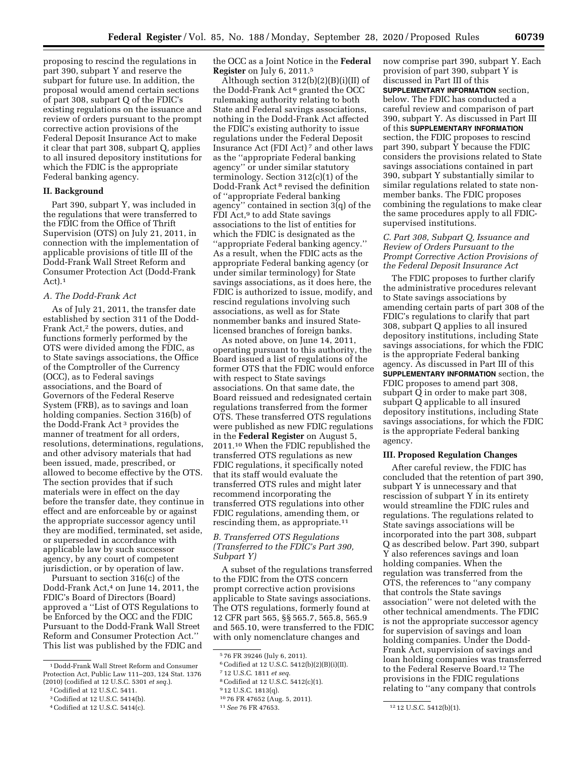proposing to rescind the regulations in part 390, subpart Y and reserve the subpart for future use. In addition, the proposal would amend certain sections of part 308, subpart Q of the FDIC's existing regulations on the issuance and review of orders pursuant to the prompt corrective action provisions of the Federal Deposit Insurance Act to make it clear that part 308, subpart Q, applies to all insured depository institutions for which the FDIC is the appropriate Federal banking agency.

## **II. Background**

Part 390, subpart Y, was included in the regulations that were transferred to the FDIC from the Office of Thrift Supervision (OTS) on July 21, 2011, in connection with the implementation of applicable provisions of title III of the Dodd-Frank Wall Street Reform and Consumer Protection Act (Dodd-Frank Act).<sup>1</sup>

## *A. The Dodd-Frank Act*

As of July 21, 2011, the transfer date established by section 311 of the Dodd-Frank Act,2 the powers, duties, and functions formerly performed by the OTS were divided among the FDIC, as to State savings associations, the Office of the Comptroller of the Currency (OCC), as to Federal savings associations, and the Board of Governors of the Federal Reserve System (FRB), as to savings and loan holding companies. Section 316(b) of the Dodd-Frank Act 3 provides the manner of treatment for all orders, resolutions, determinations, regulations, and other advisory materials that had been issued, made, prescribed, or allowed to become effective by the OTS. The section provides that if such materials were in effect on the day before the transfer date, they continue in effect and are enforceable by or against the appropriate successor agency until they are modified, terminated, set aside, or superseded in accordance with applicable law by such successor agency, by any court of competent jurisdiction, or by operation of law.

Pursuant to section 316(c) of the Dodd-Frank Act,4 on June 14, 2011, the FDIC's Board of Directors (Board) approved a ''List of OTS Regulations to be Enforced by the OCC and the FDIC Pursuant to the Dodd-Frank Wall Street Reform and Consumer Protection Act.'' This list was published by the FDIC and the OCC as a Joint Notice in the **Federal Register** on July 6, 2011.5

Although section  $312(b)(2)(B)(i)(II)$  of the Dodd-Frank Act 6 granted the OCC rulemaking authority relating to both State and Federal savings associations, nothing in the Dodd-Frank Act affected the FDIC's existing authority to issue regulations under the Federal Deposit Insurance Act (FDI Act) 7 and other laws as the ''appropriate Federal banking agency'' or under similar statutory terminology. Section 312(c)(1) of the Dodd-Frank Act 8 revised the definition of ''appropriate Federal banking agency'' contained in section 3(q) of the FDI Act,<sup>9</sup> to add State savings associations to the list of entities for which the FDIC is designated as the ''appropriate Federal banking agency.'' As a result, when the FDIC acts as the appropriate Federal banking agency (or under similar terminology) for State savings associations, as it does here, the FDIC is authorized to issue, modify, and rescind regulations involving such associations, as well as for State nonmember banks and insured Statelicensed branches of foreign banks.

As noted above, on June 14, 2011, operating pursuant to this authority, the Board issued a list of regulations of the former OTS that the FDIC would enforce with respect to State savings associations. On that same date, the Board reissued and redesignated certain regulations transferred from the former OTS. These transferred OTS regulations were published as new FDIC regulations in the **Federal Register** on August 5, 2011.10 When the FDIC republished the transferred OTS regulations as new FDIC regulations, it specifically noted that its staff would evaluate the transferred OTS rules and might later recommend incorporating the transferred OTS regulations into other FDIC regulations, amending them, or rescinding them, as appropriate.<sup>11</sup>

## *B. Transferred OTS Regulations (Transferred to the FDIC's Part 390, Subpart Y)*

A subset of the regulations transferred to the FDIC from the OTS concern prompt corrective action provisions applicable to State savings associations. The OTS regulations, formerly found at 12 CFR part 565, §§ 565.7, 565.8, 565.9 and 565.10, were transferred to the FDIC with only nomenclature changes and

6Codified at 12 U.S.C. 5412(b)(2)(B)(i)(II).

8Codified at 12 U.S.C. 5412(c)(1).

now comprise part 390, subpart Y. Each provision of part 390, subpart Y is discussed in Part III of this **SUPPLEMENTARY INFORMATION** section, below. The FDIC has conducted a careful review and comparison of part 390, subpart Y. As discussed in Part III of this **SUPPLEMENTARY INFORMATION** section, the FDIC proposes to rescind part 390, subpart Y because the FDIC considers the provisions related to State savings associations contained in part 390, subpart Y substantially similar to similar regulations related to state nonmember banks. The FDIC proposes combining the regulations to make clear the same procedures apply to all FDICsupervised institutions.

## *C. Part 308, Subpart Q, Issuance and Review of Orders Pursuant to the Prompt Corrective Action Provisions of the Federal Deposit Insurance Act*

The FDIC proposes to further clarify the administrative procedures relevant to State savings associations by amending certain parts of part 308 of the FDIC's regulations to clarify that part 308, subpart Q applies to all insured depository institutions, including State savings associations, for which the FDIC is the appropriate Federal banking agency. As discussed in Part III of this **SUPPLEMENTARY INFORMATION** section, the FDIC proposes to amend part 308, subpart Q in order to make part 308, subpart Q applicable to all insured depository institutions, including State savings associations, for which the FDIC is the appropriate Federal banking agency.

## **III. Proposed Regulation Changes**

After careful review, the FDIC has concluded that the retention of part 390, subpart Y is unnecessary and that rescission of subpart Y in its entirety would streamline the FDIC rules and regulations. The regulations related to State savings associations will be incorporated into the part 308, subpart Q as described below. Part 390, subpart Y also references savings and loan holding companies. When the regulation was transferred from the OTS, the references to ''any company that controls the State savings association'' were not deleted with the other technical amendments. The FDIC is not the appropriate successor agency for supervision of savings and loan holding companies. Under the Dodd-Frank Act, supervision of savings and loan holding companies was transferred to the Federal Reserve Board.12 The provisions in the FDIC regulations relating to ''any company that controls

<sup>1</sup> Dodd-Frank Wall Street Reform and Consumer Protection Act, Public Law 111–203, 124 Stat. 1376 (2010) (codified at 12 U.S.C. 5301 *et seq.*).

<sup>2</sup>Codified at 12 U.S.C. 5411.

<sup>3</sup>Codified at 12 U.S.C. 5414(b).

<sup>4</sup>Codified at 12 U.S.C. 5414(c).

<sup>5</sup> 76 FR 39246 (July 6, 2011).

<sup>7</sup> 12 U.S.C. 1811 *et seq.* 

<sup>9</sup> 12 U.S.C. 1813(q).

<sup>10</sup> 76 FR 47652 (Aug. 5, 2011).

<sup>11</sup>*See* 76 FR 47653. 12 12 U.S.C. 5412(b)(1).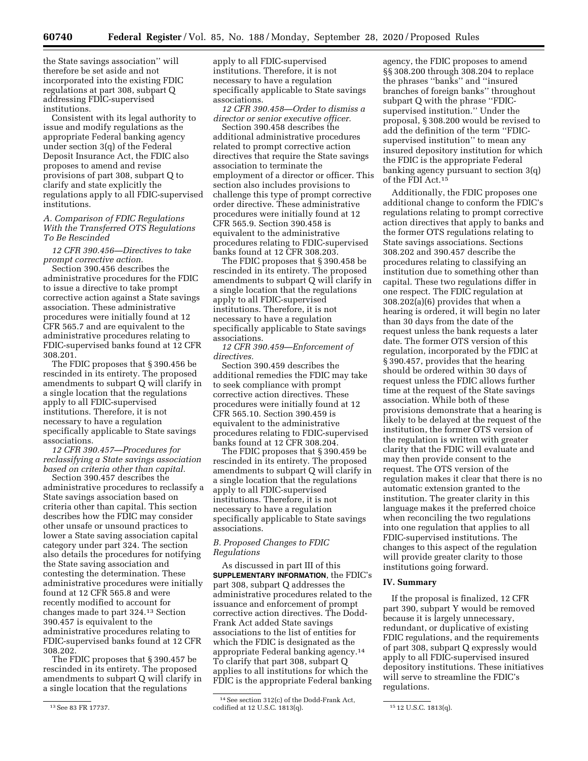the State savings association'' will therefore be set aside and not incorporated into the existing FDIC regulations at part 308, subpart Q addressing FDIC-supervised institutions.

Consistent with its legal authority to issue and modify regulations as the appropriate Federal banking agency under section 3(q) of the Federal Deposit Insurance Act, the FDIC also proposes to amend and revise provisions of part 308, subpart Q to clarify and state explicitly the regulations apply to all FDIC-supervised institutions.

## *A. Comparison of FDIC Regulations With the Transferred OTS Regulations To Be Rescinded*

*12 CFR 390.456—Directives to take prompt corrective action.* 

Section 390.456 describes the administrative procedures for the FDIC to issue a directive to take prompt corrective action against a State savings association. These administrative procedures were initially found at 12 CFR 565.7 and are equivalent to the administrative procedures relating to FDIC-supervised banks found at 12 CFR 308.201.

The FDIC proposes that § 390.456 be rescinded in its entirety. The proposed amendments to subpart Q will clarify in a single location that the regulations apply to all FDIC-supervised institutions. Therefore, it is not necessary to have a regulation specifically applicable to State savings associations.

*12 CFR 390.457—Procedures for reclassifying a State savings association based on criteria other than capital.* 

Section 390.457 describes the administrative procedures to reclassify a State savings association based on criteria other than capital. This section describes how the FDIC may consider other unsafe or unsound practices to lower a State saving association capital category under part 324. The section also details the procedures for notifying the State saving association and contesting the determination. These administrative procedures were initially found at 12 CFR 565.8 and were recently modified to account for changes made to part 324.13 Section 390.457 is equivalent to the administrative procedures relating to FDIC-supervised banks found at 12 CFR 308.202.

The FDIC proposes that § 390.457 be rescinded in its entirety. The proposed amendments to subpart Q will clarify in a single location that the regulations

apply to all FDIC-supervised institutions. Therefore, it is not necessary to have a regulation specifically applicable to State savings associations.

*12 CFR 390.458—Order to dismiss a director or senior executive officer.* 

Section 390.458 describes the additional administrative procedures related to prompt corrective action directives that require the State savings association to terminate the employment of a director or officer. This section also includes provisions to challenge this type of prompt corrective order directive. These administrative procedures were initially found at 12 CFR 565.9. Section 390.458 is equivalent to the administrative procedures relating to FDIC-supervised banks found at 12 CFR 308.203.

The FDIC proposes that § 390.458 be rescinded in its entirety. The proposed amendments to subpart Q will clarify in a single location that the regulations apply to all FDIC-supervised institutions. Therefore, it is not necessary to have a regulation specifically applicable to State savings associations.

*12 CFR 390.459—Enforcement of directives.* 

Section 390.459 describes the additional remedies the FDIC may take to seek compliance with prompt corrective action directives. These procedures were initially found at 12 CFR 565.10. Section 390.459 is equivalent to the administrative procedures relating to FDIC-supervised banks found at 12 CFR 308.204.

The FDIC proposes that § 390.459 be rescinded in its entirety. The proposed amendments to subpart Q will clarify in a single location that the regulations apply to all FDIC-supervised institutions. Therefore, it is not necessary to have a regulation specifically applicable to State savings associations.

## *B. Proposed Changes to FDIC Regulations*

As discussed in part III of this **SUPPLEMENTARY INFORMATION**, the FDIC's part 308, subpart Q addresses the administrative procedures related to the issuance and enforcement of prompt corrective action directives. The Dodd-Frank Act added State savings associations to the list of entities for which the FDIC is designated as the appropriate Federal banking agency.14 To clarify that part 308, subpart Q applies to all institutions for which the FDIC is the appropriate Federal banking

agency, the FDIC proposes to amend §§ 308.200 through 308.204 to replace the phrases ''banks'' and ''insured branches of foreign banks'' throughout subpart Q with the phrase ''FDICsupervised institution.'' Under the proposal, § 308.200 would be revised to add the definition of the term ''FDICsupervised institution'' to mean any insured depository institution for which the FDIC is the appropriate Federal banking agency pursuant to section 3(q) of the FDI Act.15

Additionally, the FDIC proposes one additional change to conform the FDIC's regulations relating to prompt corrective action directives that apply to banks and the former OTS regulations relating to State savings associations. Sections 308.202 and 390.457 describe the procedures relating to classifying an institution due to something other than capital. These two regulations differ in one respect. The FDIC regulation at 308.202(a)(6) provides that when a hearing is ordered, it will begin no later than 30 days from the date of the request unless the bank requests a later date. The former OTS version of this regulation, incorporated by the FDIC at § 390.457, provides that the hearing should be ordered within 30 days of request unless the FDIC allows further time at the request of the State savings association. While both of these provisions demonstrate that a hearing is likely to be delayed at the request of the institution, the former OTS version of the regulation is written with greater clarity that the FDIC will evaluate and may then provide consent to the request. The OTS version of the regulation makes it clear that there is no automatic extension granted to the institution. The greater clarity in this language makes it the preferred choice when reconciling the two regulations into one regulation that applies to all FDIC-supervised institutions. The changes to this aspect of the regulation will provide greater clarity to those institutions going forward.

### **IV. Summary**

If the proposal is finalized, 12 CFR part 390, subpart Y would be removed because it is largely unnecessary, redundant, or duplicative of existing FDIC regulations, and the requirements of part 308, subpart Q expressly would apply to all FDIC-supervised insured depository institutions. These initiatives will serve to streamline the FDIC's regulations.

<sup>13</sup>See 83 FR 17737.

<sup>14</sup>See section 312(c) of the Dodd-Frank Act, codified at 12 U.S.C. 1813(q). 15 12 U.S.C. 1813(q).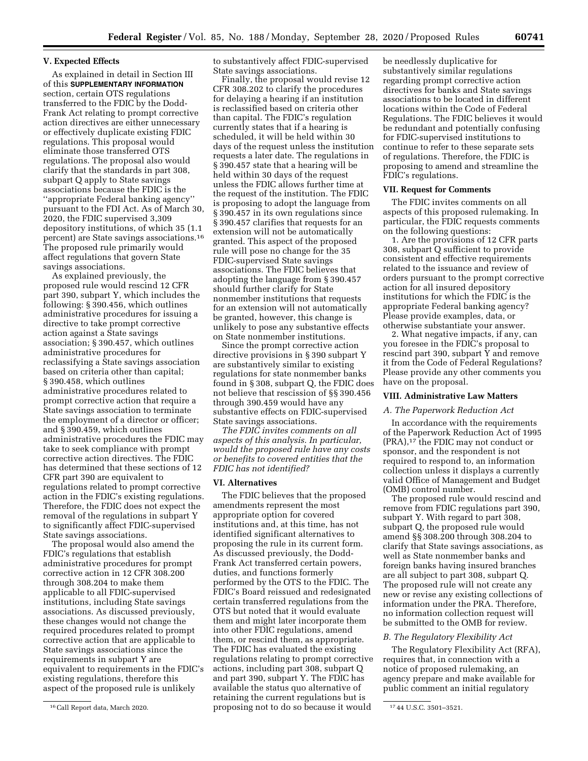#### **V. Expected Effects**

As explained in detail in Section III of this **SUPPLEMENTARY INFORMATION** section, certain OTS regulations transferred to the FDIC by the Dodd-Frank Act relating to prompt corrective action directives are either unnecessary or effectively duplicate existing FDIC regulations. This proposal would eliminate those transferred OTS regulations. The proposal also would clarify that the standards in part 308, subpart Q apply to State savings associations because the FDIC is the ''appropriate Federal banking agency'' pursuant to the FDI Act. As of March 30, 2020, the FDIC supervised 3,309 depository institutions, of which 35 (1.1 percent) are State savings associations.16 The proposed rule primarily would affect regulations that govern State savings associations.

As explained previously, the proposed rule would rescind 12 CFR part 390, subpart Y, which includes the following: § 390.456, which outlines administrative procedures for issuing a directive to take prompt corrective action against a State savings association; § 390.457, which outlines administrative procedures for reclassifying a State savings association based on criteria other than capital; § 390.458, which outlines administrative procedures related to prompt corrective action that require a State savings association to terminate the employment of a director or officer; and § 390.459, which outlines administrative procedures the FDIC may take to seek compliance with prompt corrective action directives. The FDIC has determined that these sections of 12 CFR part 390 are equivalent to regulations related to prompt corrective action in the FDIC's existing regulations. Therefore, the FDIC does not expect the removal of the regulations in subpart Y to significantly affect FDIC-supervised State savings associations.

The proposal would also amend the FDIC's regulations that establish administrative procedures for prompt corrective action in 12 CFR 308.200 through 308.204 to make them applicable to all FDIC-supervised institutions, including State savings associations. As discussed previously, these changes would not change the required procedures related to prompt corrective action that are applicable to State savings associations since the requirements in subpart Y are equivalent to requirements in the FDIC's existing regulations, therefore this aspect of the proposed rule is unlikely

to substantively affect FDIC-supervised State savings associations.

Finally, the proposal would revise 12 CFR 308.202 to clarify the procedures for delaying a hearing if an institution is reclassified based on criteria other than capital. The FDIC's regulation currently states that if a hearing is scheduled, it will be held within 30 days of the request unless the institution requests a later date. The regulations in § 390.457 state that a hearing will be held within 30 days of the request unless the FDIC allows further time at the request of the institution. The FDIC is proposing to adopt the language from § 390.457 in its own regulations since § 390.457 clarifies that requests for an extension will not be automatically granted. This aspect of the proposed rule will pose no change for the 35 FDIC-supervised State savings associations. The FDIC believes that adopting the language from § 390.457 should further clarify for State nonmember institutions that requests for an extension will not automatically be granted, however, this change is unlikely to pose any substantive effects on State nonmember institutions.

Since the prompt corrective action directive provisions in § 390 subpart Y are substantively similar to existing regulations for state nonmember banks found in § 308, subpart Q, the FDIC does not believe that rescission of §§ 390.456 through 390.459 would have any substantive effects on FDIC-supervised State savings associations.

*The FDIC invites comments on all aspects of this analysis. In particular, would the proposed rule have any costs or benefits to covered entities that the FDIC has not identified?* 

#### **VI. Alternatives**

16Call Report data, March 2020. 17 44 U.S.C. 3501–3521. proposing not to do so because it would The FDIC believes that the proposed amendments represent the most appropriate option for covered institutions and, at this time, has not identified significant alternatives to proposing the rule in its current form. As discussed previously, the Dodd-Frank Act transferred certain powers, duties, and functions formerly performed by the OTS to the FDIC. The FDIC's Board reissued and redesignated certain transferred regulations from the OTS but noted that it would evaluate them and might later incorporate them into other FDIC regulations, amend them, or rescind them, as appropriate. The FDIC has evaluated the existing regulations relating to prompt corrective actions, including part 308, subpart Q and part 390, subpart Y. The FDIC has available the status quo alternative of retaining the current regulations but is

be needlessly duplicative for substantively similar regulations regarding prompt corrective action directives for banks and State savings associations to be located in different locations within the Code of Federal Regulations. The FDIC believes it would be redundant and potentially confusing for FDIC-supervised institutions to continue to refer to these separate sets of regulations. Therefore, the FDIC is proposing to amend and streamline the FDIC's regulations.

### **VII. Request for Comments**

The FDIC invites comments on all aspects of this proposed rulemaking. In particular, the FDIC requests comments on the following questions:

1. Are the provisions of 12 CFR parts 308, subpart Q sufficient to provide consistent and effective requirements related to the issuance and review of orders pursuant to the prompt corrective action for all insured depository institutions for which the FDIC is the appropriate Federal banking agency? Please provide examples, data, or otherwise substantiate your answer.

2. What negative impacts, if any, can you foresee in the FDIC's proposal to rescind part 390, subpart Y and remove it from the Code of Federal Regulations? Please provide any other comments you have on the proposal.

### **VIII. Administrative Law Matters**

## *A. The Paperwork Reduction Act*

In accordance with the requirements of the Paperwork Reduction Act of 1995 (PRA),17 the FDIC may not conduct or sponsor, and the respondent is not required to respond to, an information collection unless it displays a currently valid Office of Management and Budget (OMB) control number.

The proposed rule would rescind and remove from FDIC regulations part 390, subpart Y. With regard to part 308, subpart Q, the proposed rule would amend §§ 308.200 through 308.204 to clarify that State savings associations, as well as State nonmember banks and foreign banks having insured branches are all subject to part 308, subpart Q. The proposed rule will not create any new or revise any existing collections of information under the PRA. Therefore, no information collection request will be submitted to the OMB for review.

## *B. The Regulatory Flexibility Act*

The Regulatory Flexibility Act (RFA), requires that, in connection with a notice of proposed rulemaking, an agency prepare and make available for public comment an initial regulatory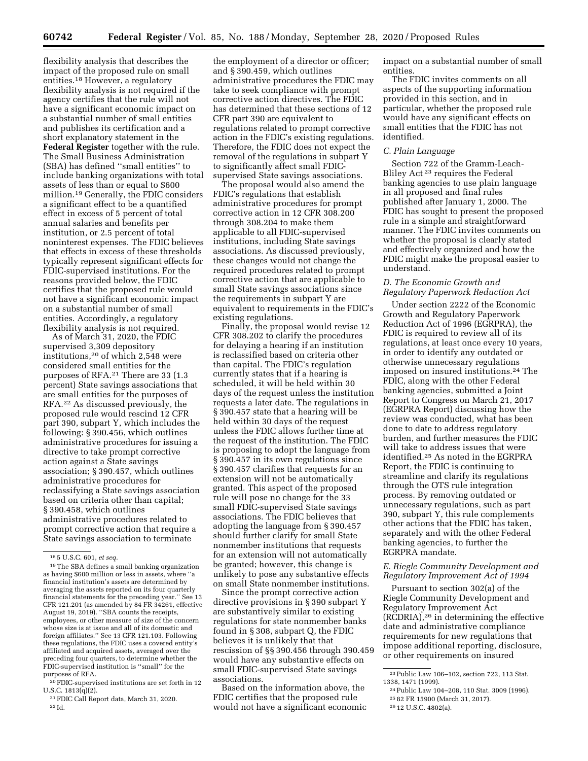flexibility analysis that describes the impact of the proposed rule on small entities.18 However, a regulatory flexibility analysis is not required if the agency certifies that the rule will not have a significant economic impact on a substantial number of small entities and publishes its certification and a short explanatory statement in the **Federal Register** together with the rule. The Small Business Administration (SBA) has defined ''small entities'' to include banking organizations with total assets of less than or equal to \$600 million.19 Generally, the FDIC considers a significant effect to be a quantified effect in excess of 5 percent of total annual salaries and benefits per institution, or 2.5 percent of total noninterest expenses. The FDIC believes that effects in excess of these thresholds typically represent significant effects for FDIC-supervised institutions. For the reasons provided below, the FDIC certifies that the proposed rule would not have a significant economic impact on a substantial number of small entities. Accordingly, a regulatory flexibility analysis is not required.

As of March 31, 2020, the FDIC supervised 3,309 depository institutions,20 of which 2,548 were considered small entities for the purposes of RFA.21 There are 33 (1.3 percent) State savings associations that are small entities for the purposes of RFA.22 As discussed previously, the proposed rule would rescind 12 CFR part 390, subpart Y, which includes the following: § 390.456, which outlines administrative procedures for issuing a directive to take prompt corrective action against a State savings association; § 390.457, which outlines administrative procedures for reclassifying a State savings association based on criteria other than capital; § 390.458, which outlines administrative procedures related to prompt corrective action that require a State savings association to terminate

20FDIC-supervised institutions are set forth in 12 U.S.C. 1813(q)(2).

21FDIC Call Report data, March 31, 2020. 22 Id.

the employment of a director or officer; and § 390.459, which outlines administrative procedures the FDIC may take to seek compliance with prompt corrective action directives. The FDIC has determined that these sections of 12 CFR part 390 are equivalent to regulations related to prompt corrective action in the FDIC's existing regulations. Therefore, the FDIC does not expect the removal of the regulations in subpart Y to significantly affect small FDICsupervised State savings associations.

The proposal would also amend the FDIC's regulations that establish administrative procedures for prompt corrective action in 12 CFR 308.200 through 308.204 to make them applicable to all FDIC-supervised institutions, including State savings associations. As discussed previously, these changes would not change the required procedures related to prompt corrective action that are applicable to small State savings associations since the requirements in subpart Y are equivalent to requirements in the FDIC's existing regulations.

Finally, the proposal would revise 12 CFR 308.202 to clarify the procedures for delaying a hearing if an institution is reclassified based on criteria other than capital. The FDIC's regulation currently states that if a hearing is scheduled, it will be held within 30 days of the request unless the institution requests a later date. The regulations in § 390.457 state that a hearing will be held within 30 days of the request unless the FDIC allows further time at the request of the institution. The FDIC is proposing to adopt the language from § 390.457 in its own regulations since § 390.457 clarifies that requests for an extension will not be automatically granted. This aspect of the proposed rule will pose no change for the 33 small FDIC-supervised State savings associations. The FDIC believes that adopting the language from § 390.457 should further clarify for small State nonmember institutions that requests for an extension will not automatically be granted; however, this change is unlikely to pose any substantive effects on small State nonmember institutions.

Since the prompt corrective action directive provisions in § 390 subpart Y are substantively similar to existing regulations for state nonmember banks found in § 308, subpart Q, the FDIC believes it is unlikely that that rescission of §§ 390.456 through 390.459 would have any substantive effects on small FDIC-supervised State savings associations.

Based on the information above, the FDIC certifies that the proposed rule would not have a significant economic impact on a substantial number of small entities.

The FDIC invites comments on all aspects of the supporting information provided in this section, and in particular, whether the proposed rule would have any significant effects on small entities that the FDIC has not identified.

## *C. Plain Language*

Section 722 of the Gramm-Leach-Bliley Act 23 requires the Federal banking agencies to use plain language in all proposed and final rules published after January 1, 2000. The FDIC has sought to present the proposed rule in a simple and straightforward manner. The FDIC invites comments on whether the proposal is clearly stated and effectively organized and how the FDIC might make the proposal easier to understand.

## *D. The Economic Growth and Regulatory Paperwork Reduction Act*

Under section 2222 of the Economic Growth and Regulatory Paperwork Reduction Act of 1996 (EGRPRA), the FDIC is required to review all of its regulations, at least once every 10 years, in order to identify any outdated or otherwise unnecessary regulations imposed on insured institutions.24 The FDIC, along with the other Federal banking agencies, submitted a Joint Report to Congress on March 21, 2017 (EGRPRA Report) discussing how the review was conducted, what has been done to date to address regulatory burden, and further measures the FDIC will take to address issues that were identified.25 As noted in the EGRPRA Report, the FDIC is continuing to streamline and clarify its regulations through the OTS rule integration process. By removing outdated or unnecessary regulations, such as part 390, subpart Y, this rule complements other actions that the FDIC has taken, separately and with the other Federal banking agencies, to further the EGRPRA mandate.

### *E. Riegle Community Development and Regulatory Improvement Act of 1994*

Pursuant to section 302(a) of the Riegle Community Development and Regulatory Improvement Act (RCDRIA),26 in determining the effective date and administrative compliance requirements for new regulations that impose additional reporting, disclosure, or other requirements on insured

<sup>18</sup> 5 U.S.C. 601, *et seq.* 

<sup>19</sup>The SBA defines a small banking organization as having \$600 million or less in assets, where ''a financial institution's assets are determined by averaging the assets reported on its four quarterly financial statements for the preceding year.'' See 13 CFR 121.201 (as amended by 84 FR 34261, effective August 19, 2019). ''SBA counts the receipts, employees, or other measure of size of the concern whose size is at issue and all of its domestic and foreign affiliates.'' See 13 CFR 121.103. Following these regulations, the FDIC uses a covered entity's affiliated and acquired assets, averaged over the preceding four quarters, to determine whether the FDIC-supervised institution is ''small'' for the purposes of RFA.

<sup>23</sup>Public Law 106–102, section 722, 113 Stat. 1338, 1471 (1999).

<sup>24</sup>Public Law 104–208, 110 Stat. 3009 (1996). 25 82 FR 15900 (March 31, 2017).

<sup>26</sup> 12 U.S.C. 4802(a).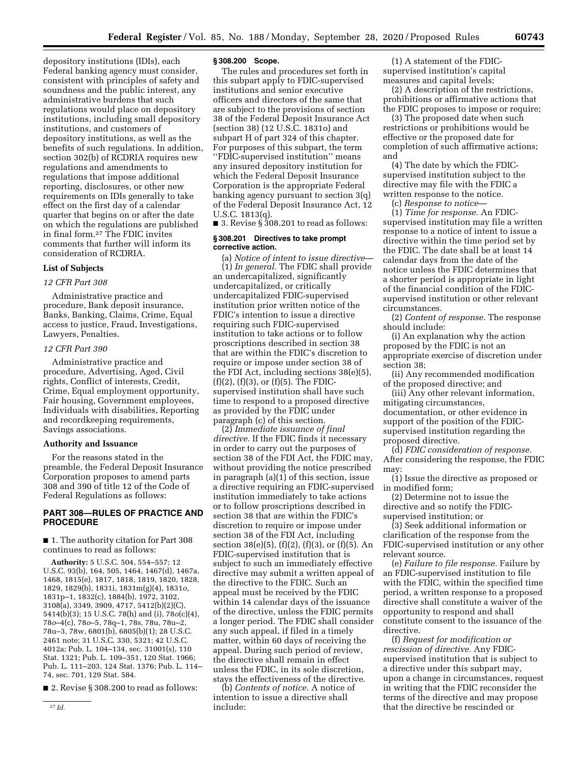depository institutions (IDIs), each Federal banking agency must consider, consistent with principles of safety and soundness and the public interest, any administrative burdens that such regulations would place on depository institutions, including small depository institutions, and customers of depository institutions, as well as the benefits of such regulations. In addition, section 302(b) of RCDRIA requires new regulations and amendments to regulations that impose additional reporting, disclosures, or other new requirements on IDIs generally to take effect on the first day of a calendar quarter that begins on or after the date on which the regulations are published in final form.27 The FDIC invites comments that further will inform its consideration of RCDRIA.

### **List of Subjects**

#### *12 CFR Part 308*

Administrative practice and procedure, Bank deposit insurance, Banks, Banking, Claims, Crime, Equal access to justice, Fraud, Investigations, Lawyers, Penalties.

## *12 CFR Part 390*

Administrative practice and procedure, Advertising, Aged, Civil rights, Conflict of interests, Credit, Crime, Equal employment opportunity, Fair housing, Government employees, Individuals with disabilities, Reporting and recordkeeping requirements, Savings associations.

## **Authority and Issuance**

For the reasons stated in the preamble, the Federal Deposit Insurance Corporation proposes to amend parts 308 and 390 of title 12 of the Code of Federal Regulations as follows:

## **PART 308—RULES OF PRACTICE AND PROCEDURE**

■ 1. The authority citation for Part 308 continues to read as follows:

**Authority:** 5 U.S.C. 504, 554–557; 12 U.S.C. 93(b), 164, 505, 1464, 1467(d), 1467a, 1468, 1815(e), 1817, 1818, 1819, 1820, 1828, 1829, 1829(b), 1831i, 1831m(g)(4), 1831*o,*  1831p–1, 1832(c), 1884(b), 1972, 3102, 3108(a), 3349, 3909, 4717, 5412(b)(2)(C), 5414(b)(3); 15 U.S.C. 78(h) and (i), 78*o*(c)(4), 78*o*–4(c), 78*o*–5, 78q–1, 78s, 78u, 78u–2, 78u–3, 78w, 6801(b), 6805(b)(1); 28 U.S.C. 2461 note; 31 U.S.C. 330, 5321; 42 U.S.C. 4012a; Pub. L. 104–134, sec. 31001(s), 110 Stat. 1321; Pub. L. 109–351, 120 Stat. 1966; Pub. L. 111–203, 124 Stat. 1376; Pub. L. 114– 74, sec. 701, 129 Stat. 584.

■ 2. Revise § 308.200 to read as follows:

#### **§ 308.200 Scope.**

The rules and procedures set forth in this subpart apply to FDIC-supervised institutions and senior executive officers and directors of the same that are subject to the provisions of section 38 of the Federal Deposit Insurance Act (section 38) (12 U.S.C. 1831o) and subpart H of part 324 of this chapter. For purposes of this subpart, the term ''FDIC-supervised institution'' means any insured depository institution for which the Federal Deposit Insurance Corporation is the appropriate Federal banking agency pursuant to section 3(q) of the Federal Deposit Insurance Act, 12 U.S.C. 1813(q).

■ 3. Revise §  $308.201$  to read as follows:

### **§ 308.201 Directives to take prompt corrective action.**

(a) *Notice of intent to issue directive*— (1) *In general.* The FDIC shall provide an undercapitalized, significantly undercapitalized, or critically undercapitalized FDIC-supervised institution prior written notice of the FDIC's intention to issue a directive requiring such FDIC-supervised institution to take actions or to follow proscriptions described in section 38 that are within the FDIC's discretion to require or impose under section 38 of the FDI Act, including sections 38(e)(5),  $(f)(2)$ ,  $(f)(3)$ , or  $(f)(5)$ . The FDICsupervised institution shall have such time to respond to a proposed directive as provided by the FDIC under paragraph (c) of this section.

(2) *Immediate issuance of final directive.* If the FDIC finds it necessary in order to carry out the purposes of section 38 of the FDI Act, the FDIC may, without providing the notice prescribed in paragraph (a)(1) of this section, issue a directive requiring an FDIC-supervised institution immediately to take actions or to follow proscriptions described in section 38 that are within the FDIC's discretion to require or impose under section 38 of the FDI Act, including section 38(e)(5),  $(f)(2)$ ,  $(f)(3)$ , or  $(f)(5)$ . An FDIC-supervised institution that is subject to such an immediately effective directive may submit a written appeal of the directive to the FDIC. Such an appeal must be received by the FDIC within 14 calendar days of the issuance of the directive, unless the FDIC permits a longer period. The FDIC shall consider any such appeal, if filed in a timely matter, within 60 days of receiving the appeal. During such period of review, the directive shall remain in effect unless the FDIC, in its sole discretion, stays the effectiveness of the directive.

(b) *Contents of notice.* A notice of intention to issue a directive shall include:

(1) A statement of the FDICsupervised institution's capital measures and capital levels;

(2) A description of the restrictions, prohibitions or affirmative actions that the FDIC proposes to impose or require;

(3) The proposed date when such restrictions or prohibitions would be effective or the proposed date for completion of such affirmative actions; and

(4) The date by which the FDICsupervised institution subject to the directive may file with the FDIC a written response to the notice.

(c) *Response to notice*—

(1) *Time for response.* An FDICsupervised institution may file a written response to a notice of intent to issue a directive within the time period set by the FDIC. The date shall be at least 14 calendar days from the date of the notice unless the FDIC determines that a shorter period is appropriate in light of the financial condition of the FDICsupervised institution or other relevant circumstances.

(2) *Content of response.* The response should include:

(i) An explanation why the action proposed by the FDIC is not an appropriate exercise of discretion under section 38;

(ii) Any recommended modification of the proposed directive; and

(iii) Any other relevant information, mitigating circumstances, documentation, or other evidence in support of the position of the FDICsupervised institution regarding the proposed directive.

(d) *FDIC consideration of response.*  After considering the response, the FDIC may:

(1) Issue the directive as proposed or in modified form;

(2) Determine not to issue the directive and so notify the FDICsupervised institution; or

(3) Seek additional information or clarification of the response from the FDIC-supervised institution or any other relevant source.

(e) *Failure to file response.* Failure by an FDIC-supervised institution to file with the FDIC, within the specified time period, a written response to a proposed directive shall constitute a waiver of the opportunity to respond and shall constitute consent to the issuance of the directive.

(f) *Request for modification or rescission of directive.* Any FDICsupervised institution that is subject to a directive under this subpart may, upon a change in circumstances, request in writing that the FDIC reconsider the terms of the directive and may propose that the directive be rescinded or

<sup>27</sup> *Id.*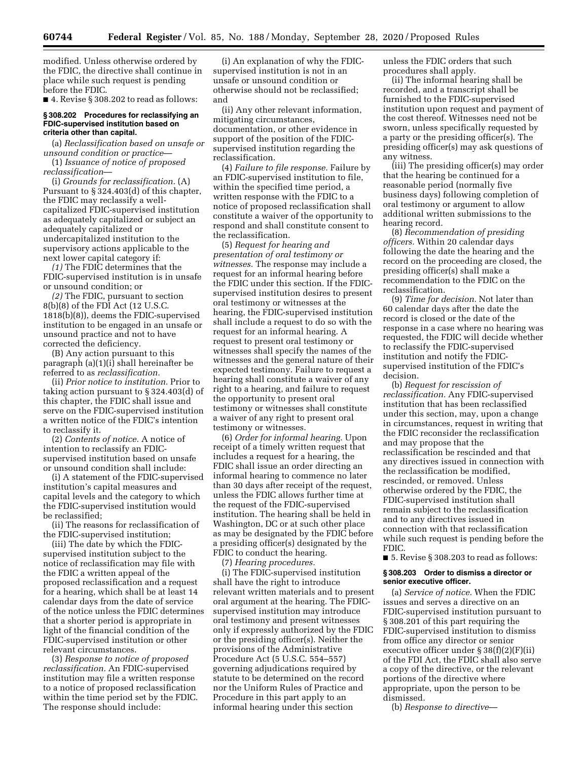modified. Unless otherwise ordered by the FDIC, the directive shall continue in place while such request is pending before the FDIC.

■ 4. Revise § 308.202 to read as follows:

#### **§ 308.202 Procedures for reclassifying an FDIC-supervised institution based on criteria other than capital.**

(a) *Reclassification based on unsafe or unsound condition or practice*—

(1) *Issuance of notice of proposed reclassification*—

(i) *Grounds for reclassification.* (A) Pursuant to § 324.403(d) of this chapter, the FDIC may reclassify a wellcapitalized FDIC-supervised institution as adequately capitalized or subject an adequately capitalized or undercapitalized institution to the supervisory actions applicable to the next lower capital category if:

*(1)* The FDIC determines that the FDIC-supervised institution is in unsafe or unsound condition; or

*(2)* The FDIC, pursuant to section 8(b)(8) of the FDI Act (12 U.S.C. 1818(b)(8)), deems the FDIC-supervised institution to be engaged in an unsafe or unsound practice and not to have corrected the deficiency.

(B) Any action pursuant to this paragraph (a)(1)(i) shall hereinafter be referred to as *reclassification.* 

(ii) *Prior notice to institution.* Prior to taking action pursuant to § 324.403(d) of this chapter, the FDIC shall issue and serve on the FDIC-supervised institution a written notice of the FDIC's intention to reclassify it.

(2) *Contents of notice.* A notice of intention to reclassify an FDICsupervised institution based on unsafe or unsound condition shall include:

(i) A statement of the FDIC-supervised institution's capital measures and capital levels and the category to which the FDIC-supervised institution would be reclassified;

(ii) The reasons for reclassification of the FDIC-supervised institution;

(iii) The date by which the FDICsupervised institution subject to the notice of reclassification may file with the FDIC a written appeal of the proposed reclassification and a request for a hearing, which shall be at least 14 calendar days from the date of service of the notice unless the FDIC determines that a shorter period is appropriate in light of the financial condition of the FDIC-supervised institution or other relevant circumstances.

(3) *Response to notice of proposed reclassification.* An FDIC-supervised institution may file a written response to a notice of proposed reclassification within the time period set by the FDIC. The response should include:

(i) An explanation of why the FDICsupervised institution is not in an unsafe or unsound condition or otherwise should not be reclassified; and

(ii) Any other relevant information, mitigating circumstances, documentation, or other evidence in support of the position of the FDICsupervised institution regarding the reclassification.

(4) *Failure to file response.* Failure by an FDIC-supervised institution to file, within the specified time period, a written response with the FDIC to a notice of proposed reclassification shall constitute a waiver of the opportunity to respond and shall constitute consent to the reclassification.

(5) *Request for hearing and presentation of oral testimony or witnesses.* The response may include a request for an informal hearing before the FDIC under this section. If the FDICsupervised institution desires to present oral testimony or witnesses at the hearing, the FDIC-supervised institution shall include a request to do so with the request for an informal hearing. A request to present oral testimony or witnesses shall specify the names of the witnesses and the general nature of their expected testimony. Failure to request a hearing shall constitute a waiver of any right to a hearing, and failure to request the opportunity to present oral testimony or witnesses shall constitute a waiver of any right to present oral testimony or witnesses.

(6) *Order for informal hearing.* Upon receipt of a timely written request that includes a request for a hearing, the FDIC shall issue an order directing an informal hearing to commence no later than 30 days after receipt of the request, unless the FDIC allows further time at the request of the FDIC-supervised institution. The hearing shall be held in Washington, DC or at such other place as may be designated by the FDIC before a presiding officer(s) designated by the FDIC to conduct the hearing.

(7) *Hearing procedures.* 

(i) The FDIC-supervised institution shall have the right to introduce relevant written materials and to present oral argument at the hearing. The FDICsupervised institution may introduce oral testimony and present witnesses only if expressly authorized by the FDIC or the presiding officer(s). Neither the provisions of the Administrative Procedure Act (5 U.S.C. 554–557) governing adjudications required by statute to be determined on the record nor the Uniform Rules of Practice and Procedure in this part apply to an informal hearing under this section

unless the FDIC orders that such procedures shall apply.

(ii) The informal hearing shall be recorded, and a transcript shall be furnished to the FDIC-supervised institution upon request and payment of the cost thereof. Witnesses need not be sworn, unless specifically requested by a party or the presiding officer(s). The presiding officer(s) may ask questions of any witness.

(iii) The presiding officer(s) may order that the hearing be continued for a reasonable period (normally five business days) following completion of oral testimony or argument to allow additional written submissions to the hearing record.

(8) *Recommendation of presiding officers.* Within 20 calendar days following the date the hearing and the record on the proceeding are closed, the presiding officer(s) shall make a recommendation to the FDIC on the reclassification.

(9) *Time for decision.* Not later than 60 calendar days after the date the record is closed or the date of the response in a case where no hearing was requested, the FDIC will decide whether to reclassify the FDIC-supervised institution and notify the FDICsupervised institution of the FDIC's decision.

(b) *Request for rescission of reclassification.* Any FDIC-supervised institution that has been reclassified under this section, may, upon a change in circumstances, request in writing that the FDIC reconsider the reclassification and may propose that the reclassification be rescinded and that any directives issued in connection with the reclassification be modified, rescinded, or removed. Unless otherwise ordered by the FDIC, the FDIC-supervised institution shall remain subject to the reclassification and to any directives issued in connection with that reclassification while such request is pending before the FDIC.

■ 5. Revise § 308.203 to read as follows:

#### **§ 308.203 Order to dismiss a director or senior executive officer.**

(a) *Service of notice.* When the FDIC issues and serves a directive on an FDIC-supervised institution pursuant to § 308.201 of this part requiring the FDIC-supervised institution to dismiss from office any director or senior executive officer under § 38(f)(2)(F)(ii) of the FDI Act, the FDIC shall also serve a copy of the directive, or the relevant portions of the directive where appropriate, upon the person to be dismissed.

(b) *Response to directive*—